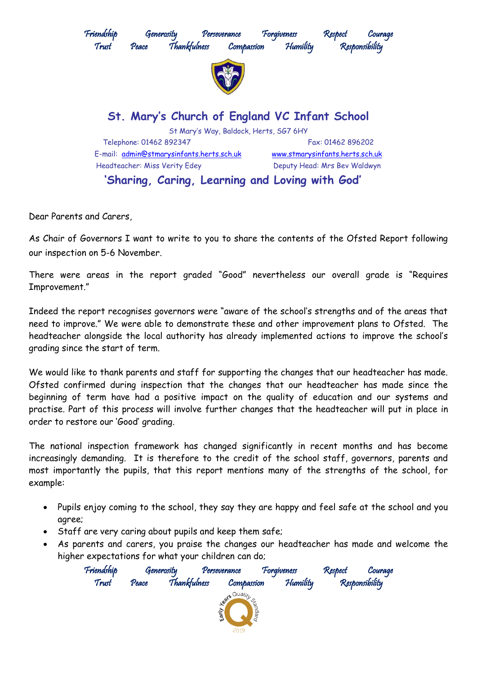

Dear Parents and Carers,

As Chair of Governors I want to write to you to share the contents of the Ofsted Report following our inspection on 5-6 November.

There were areas in the report graded "Good" nevertheless our overall grade is "Requires Improvement."

Indeed the report recognises governors were "aware of the school's strengths and of the areas that need to improve." We were able to demonstrate these and other improvement plans to Ofsted. The headteacher alongside the local authority has already implemented actions to improve the school's grading since the start of term.

We would like to thank parents and staff for supporting the changes that our headteacher has made. Ofsted confirmed during inspection that the changes that our headteacher has made since the beginning of term have had a positive impact on the quality of education and our systems and practise. Part of this process will involve further changes that the headteacher will put in place in order to restore our 'Good' grading.

The national inspection framework has changed significantly in recent months and has become increasingly demanding. It is therefore to the credit of the school staff, governors, parents and most importantly the pupils, that this report mentions many of the strengths of the school, for example:

- Pupils enjoy coming to the school, they say they are happy and feel safe at the school and you agree;
- Staff are very caring about pupils and keep them safe;
- As parents and carers, you praise the changes our headteacher has made and welcome the higher expectations for what your children can do;